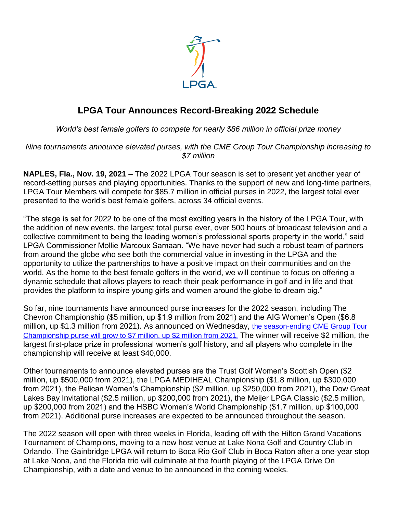

## **LPGA Tour Announces Record-Breaking 2022 Schedule**

*World's best female golfers to compete for nearly \$86 million in official prize money*

*Nine tournaments announce elevated purses, with the CME Group Tour Championship increasing to \$7 million*

**NAPLES, Fla., Nov. 19, 2021** – The 2022 LPGA Tour season is set to present yet another year of record-setting purses and playing opportunities. Thanks to the support of new and long-time partners, LPGA Tour Members will compete for \$85.7 million in official purses in 2022, the largest total ever presented to the world's best female golfers, across 34 official events.

"The stage is set for 2022 to be one of the most exciting years in the history of the LPGA Tour, with the addition of new events, the largest total purse ever, over 500 hours of broadcast television and a collective commitment to being the leading women's professional sports property in the world," said LPGA Commissioner Mollie Marcoux Samaan. "We have never had such a robust team of partners from around the globe who see both the commercial value in investing in the LPGA and the opportunity to utilize the partnerships to have a positive impact on their communities and on the world. As the home to the best female golfers in the world, we will continue to focus on offering a dynamic schedule that allows players to reach their peak performance in golf and in life and that provides the platform to inspire young girls and women around the globe to dream big."

So far, nine tournaments have announced purse increases for the 2022 season, including The Chevron Championship (\$5 million, up \$1.9 million from 2021) and the AIG Women's Open (\$6.8 million, up \$1.3 million from 2021). As announced on Wednesday, [the season-ending CME Group](https://www.lpga.com/news/2021/cme-group-tour-championship-purse-to-increase-to-7-million-in-2022) Tour [Championship purse will grow to \\$7 million, up \\$2 million from 2021.](https://www.lpga.com/news/2021/cme-group-tour-championship-purse-to-increase-to-7-million-in-2022) The winner will receive \$2 million, the largest first-place prize in professional women's golf history, and all players who complete in the championship will receive at least \$40,000.

Other tournaments to announce elevated purses are the Trust Golf Women's Scottish Open (\$2 million, up \$500,000 from 2021), the LPGA MEDIHEAL Championship (\$1.8 million, up \$300,000 from 2021), the Pelican Women's Championship (\$2 million, up \$250,000 from 2021), the Dow Great Lakes Bay Invitational (\$2.5 million, up \$200,000 from 2021), the Meijer LPGA Classic (\$2.5 million, up \$200,000 from 2021) and the HSBC Women's World Championship (\$1.7 million, up \$100,000 from 2021). Additional purse increases are expected to be announced throughout the season.

The 2022 season will open with three weeks in Florida, leading off with the Hilton Grand Vacations Tournament of Champions, moving to a new host venue at Lake Nona Golf and Country Club in Orlando. The Gainbridge LPGA will return to Boca Rio Golf Club in Boca Raton after a one-year stop at Lake Nona, and the Florida trio will culminate at the fourth playing of the LPGA Drive On Championship, with a date and venue to be announced in the coming weeks.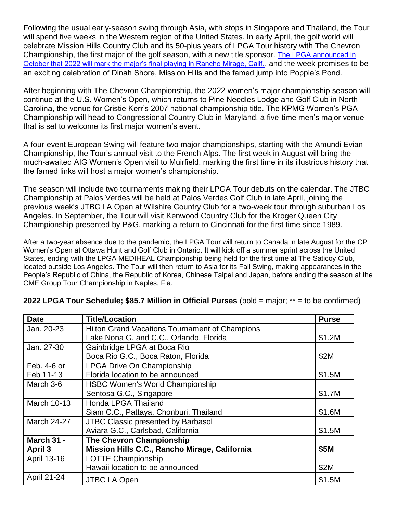Following the usual early-season swing through Asia, with stops in Singapore and Thailand, the Tour will spend five weeks in the Western region of the United States. In early April, the golf world will celebrate Mission Hills Country Club and its 50-plus years of LPGA Tour history with The Chevron Championship, the first major of the golf season, with a new title sponsor. [The LPGA announced in](https://www.lpga.com/news/2021/chevron-joins-lpga-family-as-title-sponsor-of-the-chevron-championship)  [October that 2022 will mark the major's final playing in Rancho Mirage, Calif.](https://www.lpga.com/news/2021/chevron-joins-lpga-family-as-title-sponsor-of-the-chevron-championship), and the week promises to be an exciting celebration of Dinah Shore, Mission Hills and the famed jump into Poppie's Pond.

After beginning with The Chevron Championship, the 2022 women's major championship season will continue at the U.S. Women's Open, which returns to Pine Needles Lodge and Golf Club in North Carolina, the venue for Cristie Kerr's 2007 national championship title. The KPMG Women's PGA Championship will head to Congressional Country Club in Maryland, a five-time men's major venue that is set to welcome its first major women's event.

A four-event European Swing will feature two major championships, starting with the Amundi Evian Championship, the Tour's annual visit to the French Alps. The first week in August will bring the much-awaited AIG Women's Open visit to Muirfield, marking the first time in its illustrious history that the famed links will host a major women's championship.

The season will include two tournaments making their LPGA Tour debuts on the calendar. The JTBC Championship at Palos Verdes will be held at Palos Verdes Golf Club in late April, joining the previous week's JTBC LA Open at Wilshire Country Club for a two-week tour through suburban Los Angeles. In September, the Tour will visit Kenwood Country Club for the Kroger Queen City Championship presented by P&G, marking a return to Cincinnati for the first time since 1989.

After a two-year absence due to the pandemic, the LPGA Tour will return to Canada in late August for the CP Women's Open at Ottawa Hunt and Golf Club in Ontario. It will kick off a summer sprint across the United States, ending with the LPGA MEDIHEAL Championship being held for the first time at The Saticoy Club, located outside Los Angeles. The Tour will then return to Asia for its Fall Swing, making appearances in the People's Republic of China, the Republic of Korea, Chinese Taipei and Japan, before ending the season at the CME Group Tour Championship in Naples, Fla.

| <b>Date</b>        | <b>Title/Location</b>                                 | <b>Purse</b> |
|--------------------|-------------------------------------------------------|--------------|
| Jan. 20-23         | <b>Hilton Grand Vacations Tournament of Champions</b> |              |
|                    | Lake Nona G. and C.C., Orlando, Florida               | \$1.2M       |
| Jan. 27-30         | Gainbridge LPGA at Boca Rio                           |              |
|                    | Boca Rio G.C., Boca Raton, Florida                    | \$2M         |
| Feb. 4-6 or        | <b>LPGA Drive On Championship</b>                     |              |
| Feb 11-13          | Florida location to be announced                      | \$1.5M       |
| March 3-6          | <b>HSBC Women's World Championship</b>                |              |
|                    | Sentosa G.C., Singapore                               | \$1.7M       |
| <b>March 10-13</b> | <b>Honda LPGA Thailand</b>                            |              |
|                    | Siam C.C., Pattaya, Chonburi, Thailand                | \$1.6M       |
| <b>March 24-27</b> | JTBC Classic presented by Barbasol                    |              |
|                    | Aviara G.C., Carlsbad, California                     | \$1.5M       |
| March 31 -         | <b>The Chevron Championship</b>                       |              |
| April 3            | Mission Hills C.C., Rancho Mirage, California         | \$5M         |
| April 13-16        | <b>LOTTE Championship</b>                             |              |
|                    | Hawaii location to be announced                       | \$2M         |
| <b>April 21-24</b> | <b>JTBC LA Open</b>                                   | \$1.5M       |

## **2022 LPGA Tour Schedule; \$85.7 Million in Official Purses** (bold = major; \*\* = to be confirmed)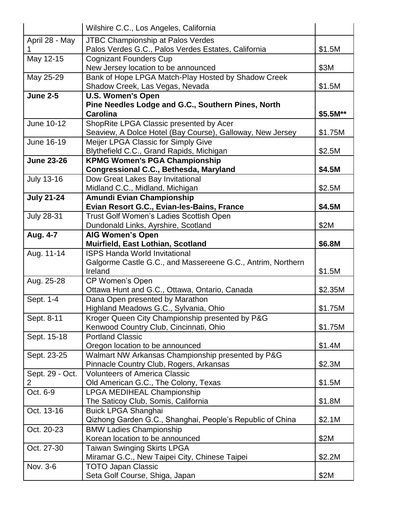|                   | Wilshire C.C., Los Angeles, California                                  |          |
|-------------------|-------------------------------------------------------------------------|----------|
| April 28 - May    | <b>JTBC Championship at Palos Verdes</b>                                |          |
|                   | Palos Verdes G.C., Palos Verdes Estates, California                     | \$1.5M   |
| May 12-15         | <b>Cognizant Founders Cup</b>                                           |          |
|                   | New Jersey location to be announced                                     | \$3M     |
| May 25-29         | Bank of Hope LPGA Match-Play Hosted by Shadow Creek                     |          |
|                   | Shadow Creek, Las Vegas, Nevada                                         | \$1.5M   |
| June $2-5$        | <b>U.S. Women's Open</b>                                                |          |
|                   | Pine Needles Lodge and G.C., Southern Pines, North                      |          |
|                   | <b>Carolina</b>                                                         | \$5.5M** |
| June 10-12        | ShopRite LPGA Classic presented by Acer                                 |          |
|                   | Seaview, A Dolce Hotel (Bay Course), Galloway, New Jersey               | \$1.75M  |
| June 16-19        | Meijer LPGA Classic for Simply Give                                     |          |
|                   | Blythefield C.C., Grand Rapids, Michigan                                | \$2.5M   |
| <b>June 23-26</b> | <b>KPMG Women's PGA Championship</b>                                    |          |
|                   | Congressional C.C., Bethesda, Maryland                                  | \$4.5M   |
| <b>July 13-16</b> | Dow Great Lakes Bay Invitational                                        |          |
|                   | Midland C.C., Midland, Michigan                                         | \$2.5M   |
| <b>July 21-24</b> | Amundi Evian Championship<br>Evian Resort G.C., Evian-les-Bains, France | \$4.5M   |
|                   | Trust Golf Women's Ladies Scottish Open                                 |          |
| <b>July 28-31</b> | Dundonald Links, Ayrshire, Scotland                                     | \$2M     |
| Aug. 4-7          | <b>AIG Women's Open</b>                                                 |          |
|                   | Muirfield, East Lothian, Scotland                                       | \$6.8M   |
| Aug. 11-14        | <b>ISPS Handa World Invitational</b>                                    |          |
|                   | Galgorme Castle G.C., and Massereene G.C., Antrim, Northern             |          |
|                   | Ireland                                                                 | \$1.5M   |
| Aug. 25-28        | CP Women's Open                                                         |          |
|                   | Ottawa Hunt and G.C., Ottawa, Ontario, Canada                           | \$2.35M  |
| Sept. 1-4         | Dana Open presented by Marathon                                         |          |
|                   | Highland Meadows G.C., Sylvania, Ohio                                   | \$1.75M  |
| Sept. 8-11        | Kroger Queen City Championship presented by P&G                         |          |
|                   | Kenwood Country Club, Cincinnati, Ohio                                  | \$1.75M  |
| Sept. 15-18       | <b>Portland Classic</b>                                                 |          |
|                   | Oregon location to be announced                                         | \$1.4M   |
| Sept. 23-25       | Walmart NW Arkansas Championship presented by P&G                       |          |
|                   |                                                                         |          |
| Sept. 29 - Oct.   | Pinnacle Country Club, Rogers, Arkansas                                 | \$2.3M   |
|                   | <b>Volunteers of America Classic</b>                                    |          |
| 2                 | Old American G.C., The Colony, Texas                                    | \$1.5M   |
| Oct. 6-9          | LPGA MEDIHEAL Championship                                              |          |
|                   | The Saticoy Club, Somis, California                                     | \$1.8M   |
| Oct. 13-16        | <b>Buick LPGA Shanghai</b>                                              |          |
|                   | Qizhong Garden G.C., Shanghai, People's Republic of China               | \$2.1M   |
| Oct. 20-23        | <b>BMW Ladies Championship</b>                                          |          |
|                   | Korean location to be announced                                         | \$2M     |
| Oct. 27-30        | <b>Taiwan Swinging Skirts LPGA</b>                                      |          |
|                   | Miramar G.C., New Taipei City, Chinese Taipei                           | \$2.2M   |
| Nov. 3-6          | <b>TOTO Japan Classic</b><br>Seta Golf Course, Shiga, Japan             | \$2M     |